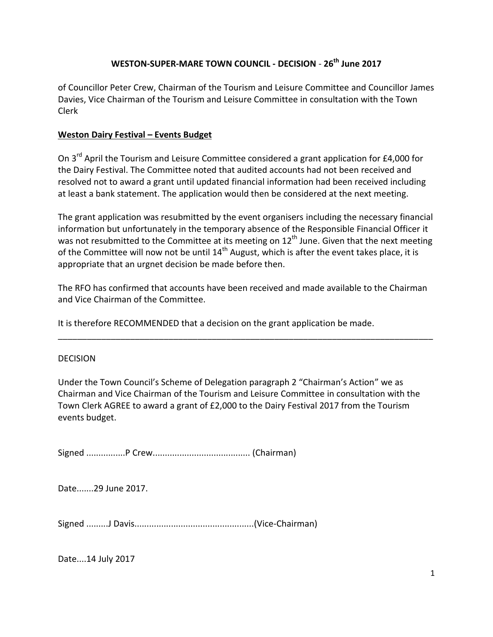## **WESTON-SUPER-MARE TOWN COUNCIL - DECISION** - **26th June 2017**

of Councillor Peter Crew, Chairman of the Tourism and Leisure Committee and Councillor James Davies, Vice Chairman of the Tourism and Leisure Committee in consultation with the Town Clerk

## **Weston Dairy Festival – Events Budget**

On 3<sup>rd</sup> April the Tourism and Leisure Committee considered a grant application for £4,000 for the Dairy Festival. The Committee noted that audited accounts had not been received and resolved not to award a grant until updated financial information had been received including at least a bank statement. The application would then be considered at the next meeting.

The grant application was resubmitted by the event organisers including the necessary financial information but unfortunately in the temporary absence of the Responsible Financial Officer it was not resubmitted to the Committee at its meeting on 12<sup>th</sup> June. Given that the next meeting of the Committee will now not be until  $14<sup>th</sup>$  August, which is after the event takes place, it is appropriate that an urgnet decision be made before then.

The RFO has confirmed that accounts have been received and made available to the Chairman and Vice Chairman of the Committee.

\_\_\_\_\_\_\_\_\_\_\_\_\_\_\_\_\_\_\_\_\_\_\_\_\_\_\_\_\_\_\_\_\_\_\_\_\_\_\_\_\_\_\_\_\_\_\_\_\_\_\_\_\_\_\_\_\_\_\_\_\_\_\_\_\_\_\_\_\_\_\_\_\_\_\_\_\_\_

It is therefore RECOMMENDED that a decision on the grant application be made.

## DECISION

Under the Town Council's Scheme of Delegation paragraph 2 "Chairman's Action" we as Chairman and Vice Chairman of the Tourism and Leisure Committee in consultation with the Town Clerk AGREE to award a grant of £2,000 to the Dairy Festival 2017 from the Tourism events budget.

Signed ................P Crew........................................ (Chairman)

Date.......29 June 2017.

Signed .........J Davis.................................................(Vice-Chairman)

Date....14 July 2017